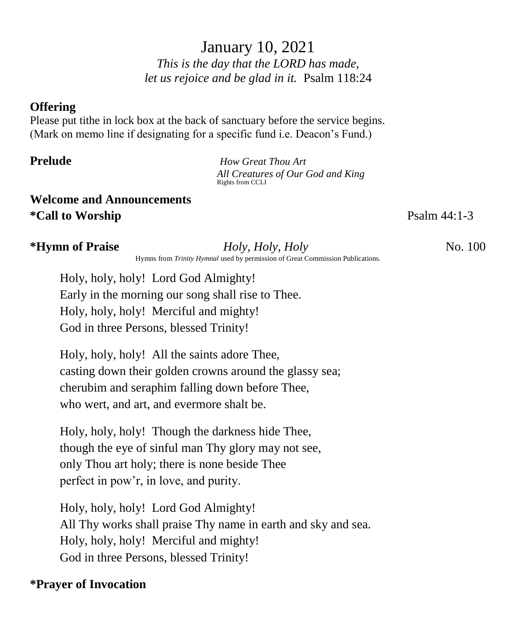January 10, 2021 *This is the day that the LORD has made, let us rejoice and be glad in it.* Psalm 118:24

## **Offering**

Please put tithe in lock box at the back of sanctuary before the service begins. (Mark on memo line if designating for a specific fund i.e. Deacon's Fund.)

**Prelude** *How Great Thou Art All Creatures of Our God and King* Rights from CCLI

# **Welcome and Announcements \*Call to Worship Psalm** 44:1-3

## **\*Hymn of Praise** *Holy, Holy, Holy Holy, Holy No. 100*

Hymns from *Trinity Hymnal* used by permission of Great Commission Publications.

Holy, holy, holy! Lord God Almighty! Early in the morning our song shall rise to Thee. Holy, holy, holy! Merciful and mighty! God in three Persons, blessed Trinity!

Holy, holy, holy! All the saints adore Thee, casting down their golden crowns around the glassy sea; cherubim and seraphim falling down before Thee, who wert, and art, and evermore shalt be.

Holy, holy, holy! Though the darkness hide Thee, though the eye of sinful man Thy glory may not see, only Thou art holy; there is none beside Thee perfect in pow'r, in love, and purity.

Holy, holy, holy! Lord God Almighty! All Thy works shall praise Thy name in earth and sky and sea. Holy, holy, holy! Merciful and mighty! God in three Persons, blessed Trinity!

# **\*Prayer of Invocation**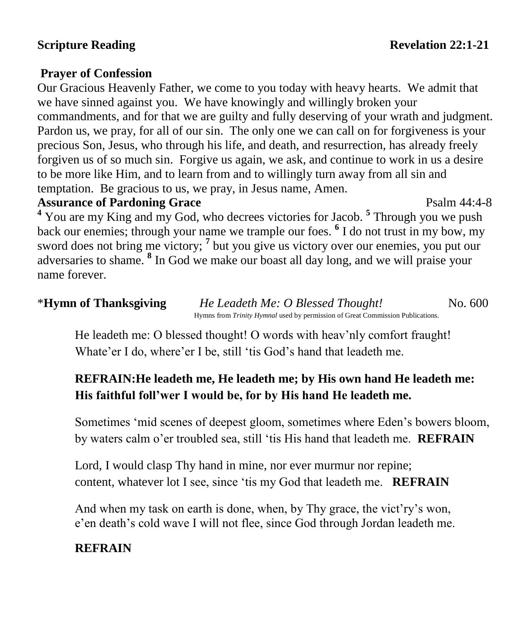## **Prayer of Confession**

Our Gracious Heavenly Father, we come to you today with heavy hearts. We admit that we have sinned against you. We have knowingly and willingly broken your commandments, and for that we are guilty and fully deserving of your wrath and judgment. Pardon us, we pray, for all of our sin. The only one we can call on for forgiveness is your precious Son, Jesus, who through his life, and death, and resurrection, has already freely forgiven us of so much sin. Forgive us again, we ask, and continue to work in us a desire to be more like Him, and to learn from and to willingly turn away from all sin and temptation. Be gracious to us, we pray, in Jesus name, Amen.

## **Assurance of Pardoning Grace** Psalm 44:4-8

<sup>4</sup> You are my King and my God, who decrees victories for Jacob.<sup>5</sup> Through you we push back our enemies; through your name we trample our foes. **<sup>6</sup>** I do not trust in my bow, my sword does not bring me victory; <sup>7</sup> but you give us victory over our enemies, you put our adversaries to shame. **<sup>8</sup>** In God we make our boast all day long, and we will praise your name forever.

# \***Hymn of Thanksgiving** *He Leadeth Me: O Blessed Thought!*No. 600 Hymns from *Trinity Hymnal* used by permission of Great Commission Publications.

He leadeth me: O blessed thought! O words with heav'nly comfort fraught! Whate'er I do, where'er I be, still 'tis God's hand that leadeth me.

# **REFRAIN:He leadeth me, He leadeth me; by His own hand He leadeth me: His faithful foll'wer I would be, for by His hand He leadeth me.**

Sometimes 'mid scenes of deepest gloom, sometimes where Eden's bowers bloom, by waters calm o'er troubled sea, still 'tis His hand that leadeth me. **REFRAIN**

Lord, I would clasp Thy hand in mine, nor ever murmur nor repine; content, whatever lot I see, since 'tis my God that leadeth me. **REFRAIN**

And when my task on earth is done, when, by Thy grace, the vict'ry's won, e'en death's cold wave I will not flee, since God through Jordan leadeth me.

# **REFRAIN**

**Scripture Reading Revelation Revelation Revelation Revelation 22:1-21**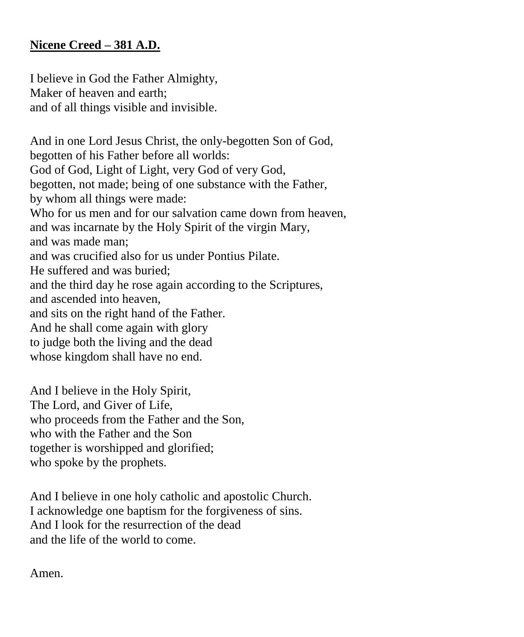## **Nicene Creed – 381 A.D.**

I believe in God the Father Almighty, Maker of heaven and earth; and of all things visible and invisible.

And in one Lord Jesus Christ, the only-begotten Son of God, begotten of his Father before all worlds: God of God, Light of Light, very God of very God, begotten, not made; being of one substance with the Father, by whom all things were made: Who for us men and for our salvation came down from heaven, and was incarnate by the Holy Spirit of the virgin Mary, and was made man; and was crucified also for us under Pontius Pilate. He suffered and was buried; and the third day he rose again according to the Scriptures, and ascended into heaven, and sits on the right hand of the Father. And he shall come again with glory to judge both the living and the dead whose kingdom shall have no end.

And I believe in the Holy Spirit, The Lord, and Giver of Life, who proceeds from the Father and the Son, who with the Father and the Son together is worshipped and glorified; who spoke by the prophets.

And I believe in one holy catholic and apostolic Church. I acknowledge one baptism for the forgiveness of sins. And I look for the resurrection of the dead and the life of the world to come.

Amen.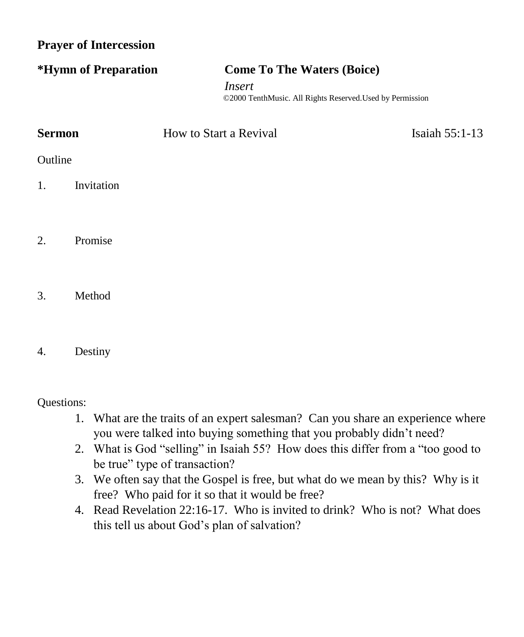**Prayer of Intercession**

| *Hymn of Preparation | <b>Come To The Waters (Boice)</b>                                   |  |
|----------------------|---------------------------------------------------------------------|--|
|                      | Insert<br>©2000 TenthMusic. All Rights Reserved. Used by Permission |  |

| <b>Sermon</b> |            | How to Start a Revival | Isaiah $55:1-13$ |  |
|---------------|------------|------------------------|------------------|--|
| Outline       |            |                        |                  |  |
| 1.            | Invitation |                        |                  |  |

- 2. Promise
- 3. Method
- 4. Destiny

Questions:

- 1. What are the traits of an expert salesman? Can you share an experience where you were talked into buying something that you probably didn't need?
- 2. What is God "selling" in Isaiah 55? How does this differ from a "too good to be true" type of transaction?
- 3. We often say that the Gospel is free, but what do we mean by this? Why is it free? Who paid for it so that it would be free?
- 4. Read Revelation 22:16-17. Who is invited to drink? Who is not? What does this tell us about God's plan of salvation?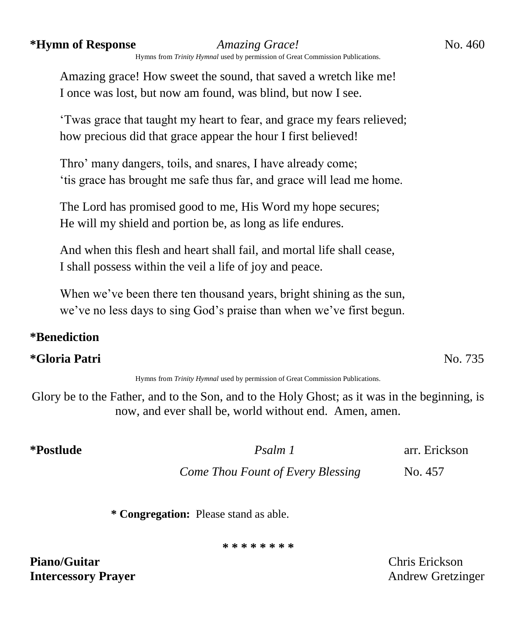### **\*Hymn of Response** *Amazing Grace!*No. 460

Hymns from *Trinity Hymnal* used by permission of Great Commission Publications.

Amazing grace! How sweet the sound, that saved a wretch like me! I once was lost, but now am found, was blind, but now I see.

'Twas grace that taught my heart to fear, and grace my fears relieved; how precious did that grace appear the hour I first believed!

Thro' many dangers, toils, and snares, I have already come; 'tis grace has brought me safe thus far, and grace will lead me home.

The Lord has promised good to me, His Word my hope secures; He will my shield and portion be, as long as life endures.

And when this flesh and heart shall fail, and mortal life shall cease, I shall possess within the veil a life of joy and peace.

When we've been there ten thousand years, bright shining as the sun, we've no less days to sing God's praise than when we've first begun.

## **\*Benediction**

### **\*Gloria Patri** No. 735

Hymns from *Trinity Hymnal* used by permission of Great Commission Publications.

Glory be to the Father, and to the Son, and to the Holy Ghost; as it was in the beginning, is now, and ever shall be, world without end. Amen, amen.

**\*Postlude** *Psalm 1* arr. Erickson

*Come Thou Fount of Every Blessing* No. 457

**\* Congregation:** Please stand as able.

**\* \* \* \* \* \* \* \***

**Piano/Guitar** Chris Erickson **Intercessory Prayer** Andrew Gretzinger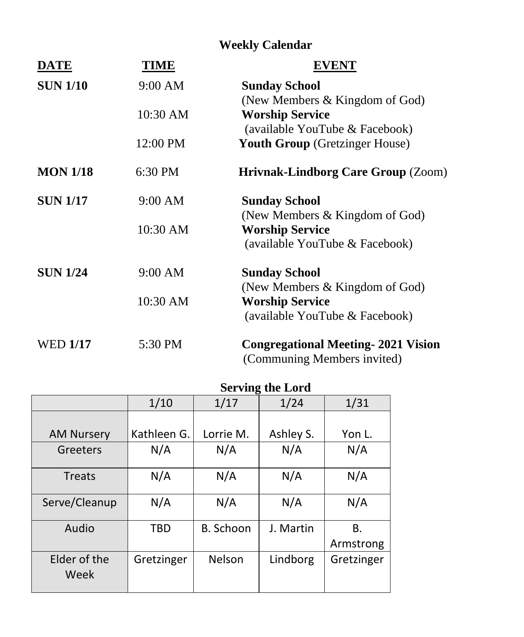# **Weekly Calendar**

| DATE            | <b>TIME</b> | <b>EVENT</b>                              |
|-----------------|-------------|-------------------------------------------|
| <b>SUN 1/10</b> | 9:00 AM     | <b>Sunday School</b>                      |
|                 |             | (New Members & Kingdom of God)            |
|                 | 10:30 AM    | <b>Worship Service</b>                    |
|                 |             | (available YouTube & Facebook)            |
|                 | 12:00 PM    | <b>Youth Group</b> (Gretzinger House)     |
| <b>MON 1/18</b> | 6:30 PM     | <b>Hrivnak-Lindborg Care Group (Zoom)</b> |
| <b>SUN 1/17</b> | 9:00 AM     | <b>Sunday School</b>                      |
|                 |             | (New Members & Kingdom of God)            |
|                 | 10:30 AM    | <b>Worship Service</b>                    |
|                 |             | (available YouTube & Facebook)            |
| <b>SUN 1/24</b> | 9:00 AM     | <b>Sunday School</b>                      |
|                 |             | (New Members & Kingdom of God)            |
|                 | 10:30 AM    | <b>Worship Service</b>                    |
|                 |             | (available YouTube & Facebook)            |
| <b>WED 1/17</b> | 5:30 PM     | <b>Congregational Meeting-2021 Vision</b> |
|                 |             | (Communing Members invited)               |

# **Serving the Lord**

|                      | 0           |           |           |            |  |
|----------------------|-------------|-----------|-----------|------------|--|
|                      | 1/10        | 1/17      | 1/24      | 1/31       |  |
|                      |             |           |           |            |  |
| <b>AM Nursery</b>    | Kathleen G. | Lorrie M. | Ashley S. | Yon L.     |  |
| Greeters             | N/A         | N/A       | N/A       | N/A        |  |
| <b>Treats</b>        | N/A         | N/A       | N/A       | N/A        |  |
| Serve/Cleanup        | N/A         | N/A       | N/A       | N/A        |  |
| Audio                | <b>TBD</b>  | B. Schoon | J. Martin | В.         |  |
|                      |             |           |           | Armstrong  |  |
| Elder of the<br>Week | Gretzinger  | Nelson    | Lindborg  | Gretzinger |  |